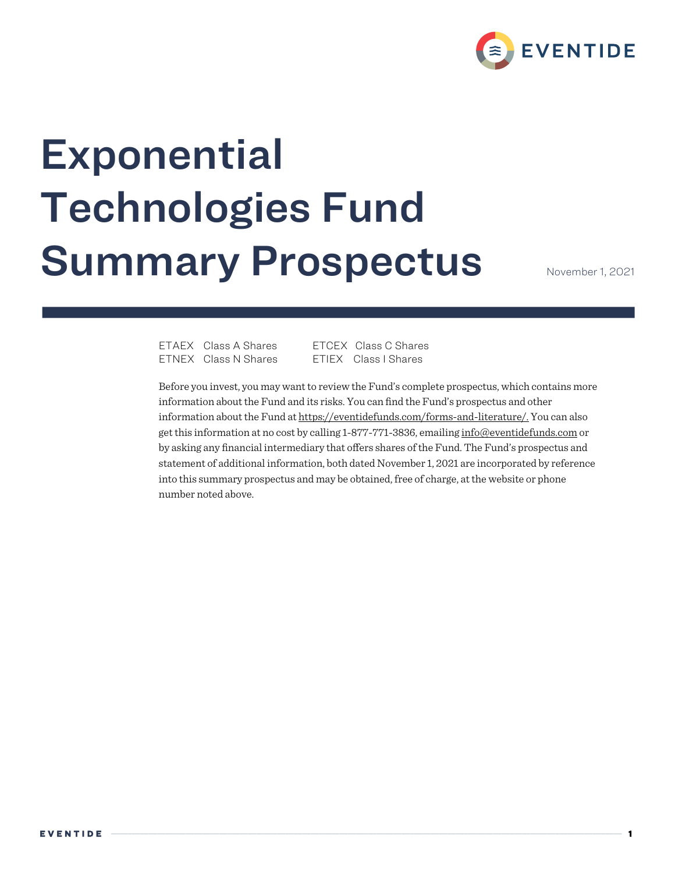

# **Exponential** Technologies Fund **Summary Prospectus**

ETAEX Class A Shares ETCEX Class C Shares ETNEX Class N Shares ETIEX Class I Shares

Before you invest, you may want to review the Fund's complete prospectus, which contains more information about the Fund and its risks. You can find the Fund's prospectus and other information about the Fund at https://eventidefunds.com/forms-and-literature/. You can also get this information at no cost by calling 1-877-771-3836, emailing info@eventidefunds.com or by asking any financial intermediary that offers shares of the Fund. The Fund's prospectus and statement of additional information, both dated November 1, 2021 are incorporated by reference into this summary prospectus and may be obtained, free of charge, at the website or phone number noted above.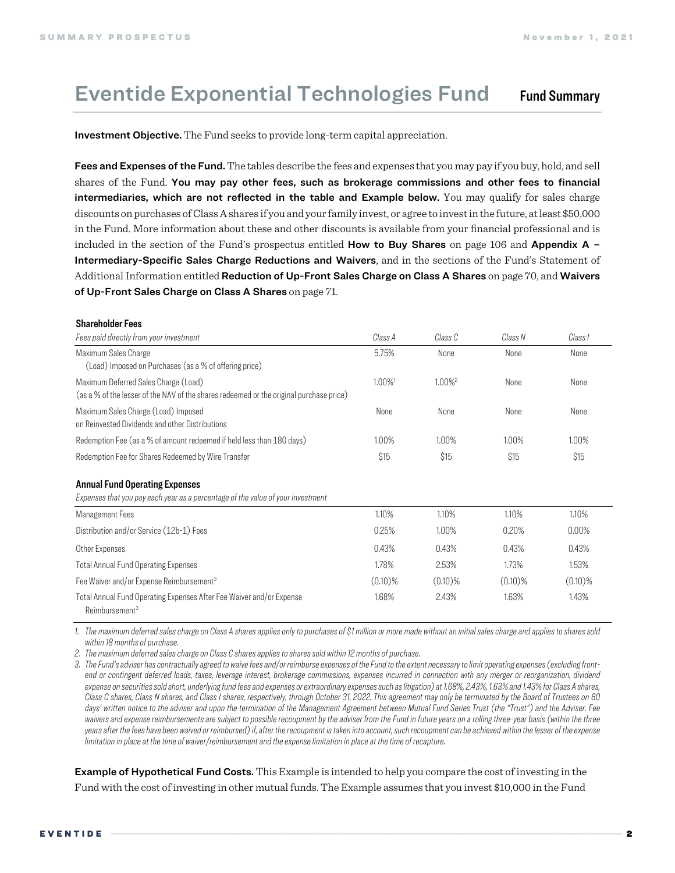## Eventide Exponential Technologies Fund Fund Summary

Investment Objective. The Fund seeks to provide long-term capital appreciation.

Fees and Expenses of the Fund. The tables describe the fees and expenses that you may pay if you buy, hold, and sell shares of the Fund. You may pay other fees, such as brokerage commissions and other fees to financial intermediaries, which are not reflected in the table and Example below. You may qualify for sales charge discounts on purchases of Class A shares if you and your family invest, or agree to invest in the future, at least \$50,000 in the Fund. More information about these and other discounts is available from your financial professional and is included in the section of the Fund's prospectus entitled **How to Buy Shares** on page 106 and **Appendix A** – Intermediary-Specific Sales Charge Reductions and Waivers, and in the sections of the Fund's Statement of Additional Information entitled Reduction of Up-Front Sales Charge on Class A Shares on page 70, and Waivers of Up-Front Sales Charge on Class A Shares on page 71.

#### Shareholder Fees

| Fees paid directly from your investment                                                                                         | Class A    | Class C               | Class N    | Class I    |
|---------------------------------------------------------------------------------------------------------------------------------|------------|-----------------------|------------|------------|
| Maximum Sales Charge<br>(Load) Imposed on Purchases (as a % of offering price)                                                  | 5.75%      | None                  | None       | None       |
| Maximum Deferred Sales Charge (Load)<br>(as a % of the lesser of the NAV of the shares redeemed or the original purchase price) | 1.00%      | $1.00\%$ <sup>2</sup> | None       | None       |
| Maximum Sales Charge (Load) Imposed<br>on Reinvested Dividends and other Distributions                                          | None       | None                  | None       | None       |
| Redemption Fee (as a % of amount redeemed if held less than 180 days)                                                           | 1.00%      | 1.00%                 | 1.00%      | 1.00%      |
| Redemption Fee for Shares Redeemed by Wire Transfer                                                                             | \$15       | \$15                  | \$15       | \$15       |
| <b>Annual Fund Operating Expenses</b>                                                                                           |            |                       |            |            |
| Expenses that you pay each year as a percentage of the value of your investment                                                 |            |                       |            |            |
| Management Fees                                                                                                                 | 1.10%      | 1.10%                 | 1.10%      | 1.10%      |
| Distribution and/or Service (12b-1) Fees                                                                                        | 0.25%      | 1.00%                 | 0.20%      | 0.00%      |
| Other Expenses                                                                                                                  | 0.43%      | 0.43%                 | 0.43%      | 0.43%      |
| <b>Total Annual Fund Operating Expenses</b>                                                                                     | 1.78%      | 2.53%                 | 1.73%      | 1.53%      |
| Fee Waiver and/or Expense Reimbursement <sup>3</sup>                                                                            | $(0.10)\%$ | $(0.10)\%$            | $(0.10)\%$ | $(0.10)\%$ |
| Total Annual Fund Operating Expenses After Fee Waiver and/or Expense<br>Reimbursement <sup>3</sup>                              | 1.68%      | 2.43%                 | 1.63%      | 1.43%      |

*1. The maximum deferred sales charge on Class A shares applies only to purchases of \$1 million or more made without an initial sales charge and applies to shares sold within 18 months of purchase.*

*2. The maximum deferred sales charge on Class C shares applies to shares sold within 12 months of purchase.*

*3. The Fund's adviser has contractually agreed to waive fees and/or reimburse expenses of the Fund to the extent necessary to limit operating expenses (excluding front*end or contingent deferred loads, taxes, leverage interest, brokerage commissions, expenses incurred in connection with any merger or reorganization, dividend *expense on securities sold short, underlying fund fees and expenses or extraordinary expenses such as litigation) at 1.68%, 2.43%, 1.63% and 1.43% for Class A shares, Class C shares, Class N shares, and Class I shares, respectively, through October 31, 2022. This agreement may only be terminated by the Board of Trustees on 60 days' written notice to the adviser and upon the termination of the Management Agreement between Mutual Fund Series Trust (the "Trust") and the Adviser. Fee*  waivers and expense reimbursements are subject to possible recoupment by the adviser from the Fund in future years on a rolling three-year basis (within the three *years after the fees have been waived or reimbursed) if, after the recoupment is taken into account, such recoupment can be achieved within the lesser of the expense limitation in place at the time of waiver/reimbursement and the expense limitation in place at the time of recapture.* 

Example of Hypothetical Fund Costs. This Example is intended to help you compare the cost of investing in the Fund with the cost of investing in other mutual funds. The Example assumes that you invest \$10,000 in the Fund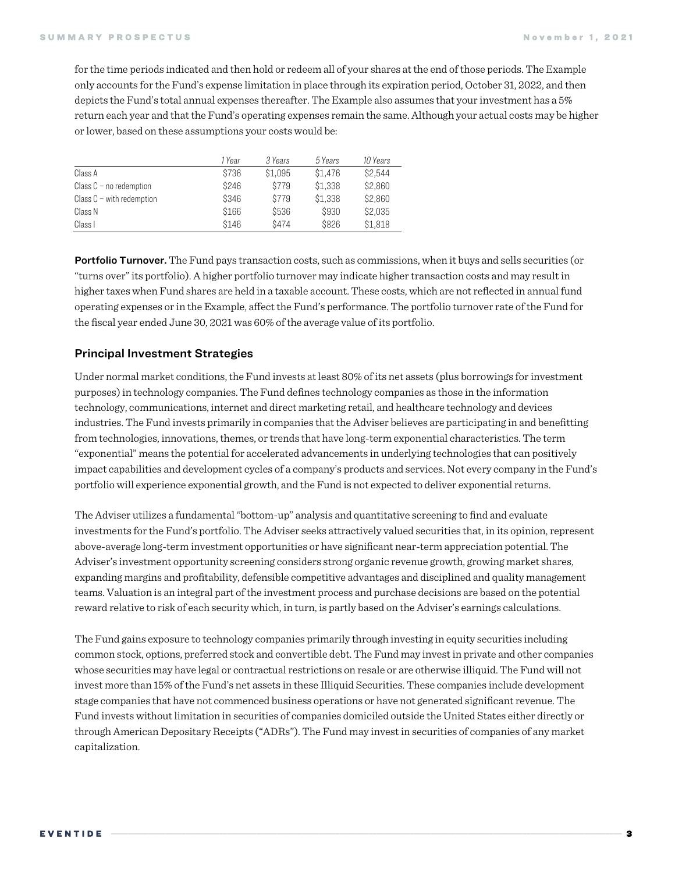for the time periods indicated and then hold or redeem all of your shares at the end of those periods. The Example only accounts for the Fund's expense limitation in place through its expiration period, October 31, 2022, and then depicts the Fund's total annual expenses thereafter. The Example also assumes that your investment has a 5% return each year and that the Fund's operating expenses remain the same. Although your actual costs may be higher or lower, based on these assumptions your costs would be:

|                             | 1 Year | 3 Years | 5 Years | 10 Years |
|-----------------------------|--------|---------|---------|----------|
| Class A                     | \$736  | \$1,095 | \$1,476 | \$2,544  |
| Class $C$ – no redemption   | \$246  | \$779   | \$1,338 | \$2,860  |
| Class $C$ – with redemption | \$346  | \$779   | \$1,338 | \$2,860  |
| Class N                     | \$166  | \$536   | \$930   | \$2,035  |
| Class I                     | \$146  | \$474   | \$826   | \$1,818  |

Portfolio Turnover. The Fund pays transaction costs, such as commissions, when it buys and sells securities (or "turns over"its portfolio). A higher portfolio turnover may indicate higher transaction costs and may result in higher taxes when Fund shares are held in a taxable account. These costs, which are not reflected in annual fund operating expenses or in the Example, affect the Fund's performance. The portfolio turnover rate of the Fund for the fiscal year ended June 30, 2021 was 60% of the average value of its portfolio.

#### Principal Investment Strategies

Under normal market conditions, the Fund invests at least 80% of its net assets (plus borrowings for investment purposes) in technology companies. The Fund defines technology companies as those in the information technology, communications, internet and direct marketing retail, and healthcare technology and devices industries. The Fund invests primarily in companies that the Adviser believes are participating in and benefitting from technologies, innovations, themes, or trends that have long-term exponential characteristics. The term "exponential" means the potential for accelerated advancements in underlying technologies that can positively impact capabilities and development cycles of a company's products and services. Not every company in the Fund's portfolio will experience exponential growth, and the Fund is not expected to deliver exponential returns.

The Adviser utilizes a fundamental "bottom-up" analysis and quantitative screening to find and evaluate investments for the Fund's portfolio. The Adviser seeks attractively valued securities that, in its opinion, represent above-average long-term investment opportunities or have significant near-term appreciation potential. The Adviser's investment opportunity screening considers strong organic revenue growth, growing market shares, expanding margins and profitability, defensible competitive advantages and disciplined and quality management teams. Valuation is an integral part of the investment process and purchase decisions are based on the potential reward relative to risk of each security which, in turn, is partly based on the Adviser's earnings calculations.

The Fund gains exposure to technology companies primarily through investing in equity securities including common stock, options, preferred stock and convertible debt. The Fund may invest in private and other companies whose securities may have legal or contractual restrictions on resale or are otherwise illiquid.The Fund will not invest more than 15% of the Fund's net assets in these Illiquid Securities. These companies include development stage companies that have not commenced business operations or have not generated significant revenue. The Fund invests without limitation in securities of companies domiciled outside the United States either directly or through American Depositary Receipts ("ADRs"). The Fund may invest in securities of companies of any market capitalization.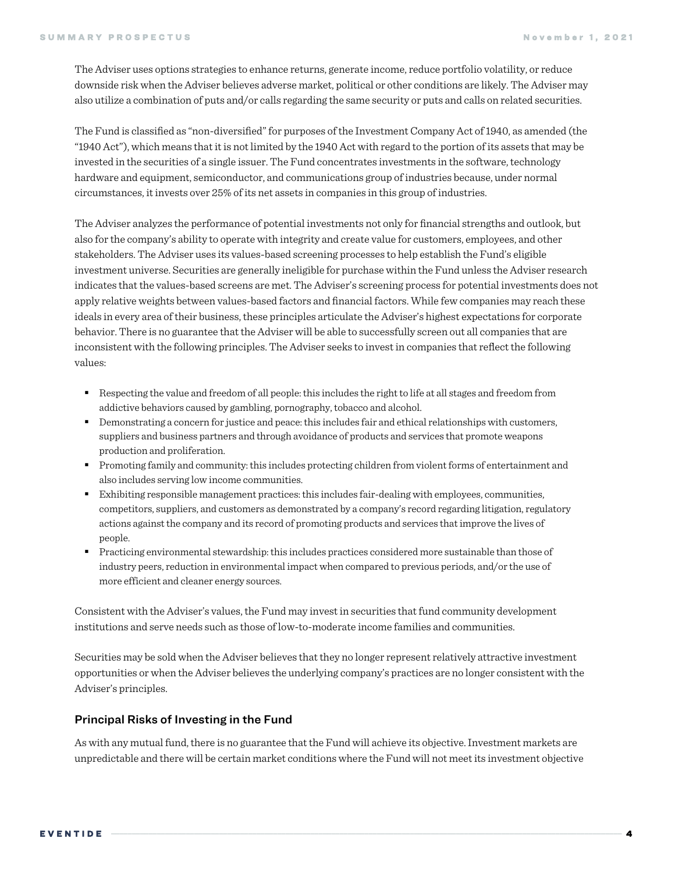The Adviser uses options strategies to enhance returns, generate income, reduce portfolio volatility, or reduce downside risk when the Adviser believes adverse market, political or other conditions are likely. The Adviser may also utilize a combination of puts and/or calls regarding the same security or puts and calls on related securities.

The Fund is classified as "non-diversified" for purposes of the Investment Company Act of 1940, as amended (the "1940 Act"), which means that it is not limited by the 1940 Act with regard to the portion of its assets that may be invested in the securities of a single issuer. The Fund concentrates investments in the software, technology hardware and equipment, semiconductor, and communications group of industries because, under normal circumstances, it invests over 25% of its net assets in companies in this group of industries.

The Adviser analyzes the performance of potential investments not only for financial strengths and outlook, but also for the company's ability to operate with integrity and create value for customers, employees, and other stakeholders. The Adviser uses its values-based screening processes to help establish the Fund's eligible investment universe. Securities are generally ineligible for purchase within the Fund unless the Adviser research indicates that the values-based screens are met. The Adviser's screening process for potential investments does not apply relative weights between values-based factors and financial factors. While few companies may reach these ideals in every area of their business, these principles articulate the Adviser's highest expectations for corporate behavior. There is no guarantee that the Adviser will be able to successfully screen out all companies that are inconsistent with the following principles. The Adviser seeks to invest in companies that reflect the following values:

- Respecting the value and freedom of all people: this includes the right to life at all stages and freedom from addictive behaviors caused by gambling, pornography, tobacco and alcohol.
- Demonstrating a concern for justice and peace: this includes fair and ethical relationships with customers, suppliers and business partners and through avoidance of products and services that promote weapons production and proliferation.
- § Promoting family and community: this includes protecting children from violent forms of entertainment and also includes serving low income communities.
- Exhibiting responsible management practices: this includes fair-dealing with employees, communities, competitors, suppliers, and customers as demonstrated by a company's record regarding litigation, regulatory actions against the company and its record of promoting products and services that improve the lives of people.
- § Practicing environmental stewardship: this includes practices considered more sustainable than those of industry peers, reduction in environmental impact when compared to previous periods, and/or the use of more efficient and cleaner energy sources.

Consistent with the Adviser's values, the Fund may invest in securities that fund community development institutions and serve needs such as those of low-to-moderate income families and communities.

Securities may be sold when the Adviser believes that they no longer represent relatively attractive investment opportunities or when the Adviser believes the underlying company's practices are no longer consistent with the Adviser's principles.

#### Principal Risks of Investing in the Fund

As with any mutual fund, there is no guarantee that the Fund will achieve its objective. Investment markets are unpredictable and there will be certain market conditions where the Fund will not meet its investment objective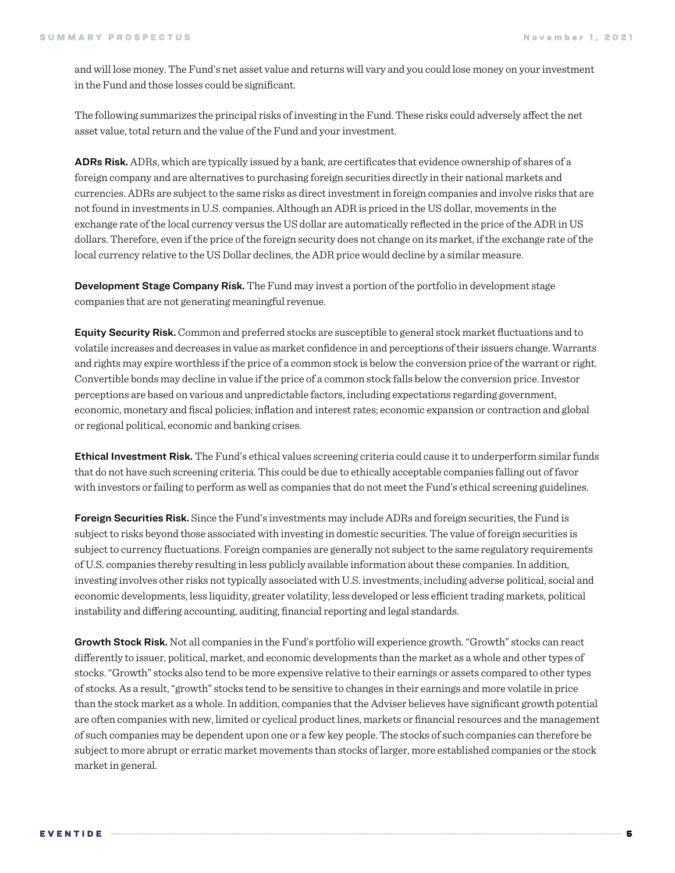and will lose money. The Fund's net asset value and returns will vary and you could lose money on your investment in the Fund and those losses could be significant.

The following summarizes the principal risks of investing in the Fund.These risks could adversely affect the net asset value, total return and the value of the Fund and your investment.

ADRs Risk. ADRs, which are typically issued by a bank, are certificates that evidence ownership of shares of a foreign company and are alternatives to purchasing foreign securities directly in their national markets and currencies. ADRs are subject to the same risks as direct investment in foreign companies and involve risks that are not found in investments in U.S. companies. Although an ADRis priced in the US dollar, movements in the exchange rate of the local currency versus the US dollar are automatically reflected in the price of the ADR in US dollars. Therefore, even if the price of the foreign security does not change on its market, if the exchange rate of the local currency relative to the US Dollar declines, the ADR price would decline by a similar measure.

Development Stage Company Risk. The Fund may invest a portion of the portfolio in development stage companies that are not generating meaningful revenue.

Equity Security Risk.Common and preferred stocks are susceptible to general stock market fluctuations and to volatile increases and decreases in value as market confidence in and perceptions of their issuers change. Warrants and rights may expire worthless if the price of a common stock is below the conversion price of the warrant or right. Convertible bonds may decline in value if the price of a common stock falls below the conversion price. Investor perceptions are based on various and unpredictable factors, including expectations regarding government, economic, monetary and fiscal policies; inflation and interest rates; economic expansion or contraction and global or regional political, economic and banking crises.

**Ethical Investment Risk.** The Fund's ethical values screening criteria could cause it to underperform similar funds that do not have such screening criteria. This could be due to ethically acceptable companies falling out of favor with investors or failing to perform as well as companies that do not meet the Fund's ethical screening guidelines.

**Foreign Securities Risk.** Since the Fund's investments may include ADRs and foreign securities, the Fund is subject to risks beyond those associated with investing in domestic securities. The value of foreign securities is subject to currency fluctuations. Foreign companies are generally not subject to the same regulatory requirements of U.S. companies thereby resulting in less publicly available information about these companies. In addition, investing involves other risks not typically associated with U.S. investments, including adverse political, social and economic developments, less liquidity, greater volatility, less developed or less efficient trading markets, political instability and differing accounting, auditing, financial reporting and legal standards.

Growth Stock Risk. Not all companies in the Fund's portfolio will experience growth. "Growth" stocks can react differently to issuer, political, market, and economic developments than the market as a whole and other types of stocks. "Growth" stocks also tend to be more expensive relative to their earnings or assets compared to other types of stocks. As a result, "growth" stocks tend to be sensitive to changes in their earnings and more volatile in price than the stock market as a whole. In addition, companies that the Adviser believes have significant growth potential are often companies with new, limited or cyclical product lines, markets or financial resources and the management of such companies may be dependent upon one or a few key people. The stocks of such companies can therefore be subject to more abrupt or erratic market movements than stocks of larger, more established companies or the stock market in general.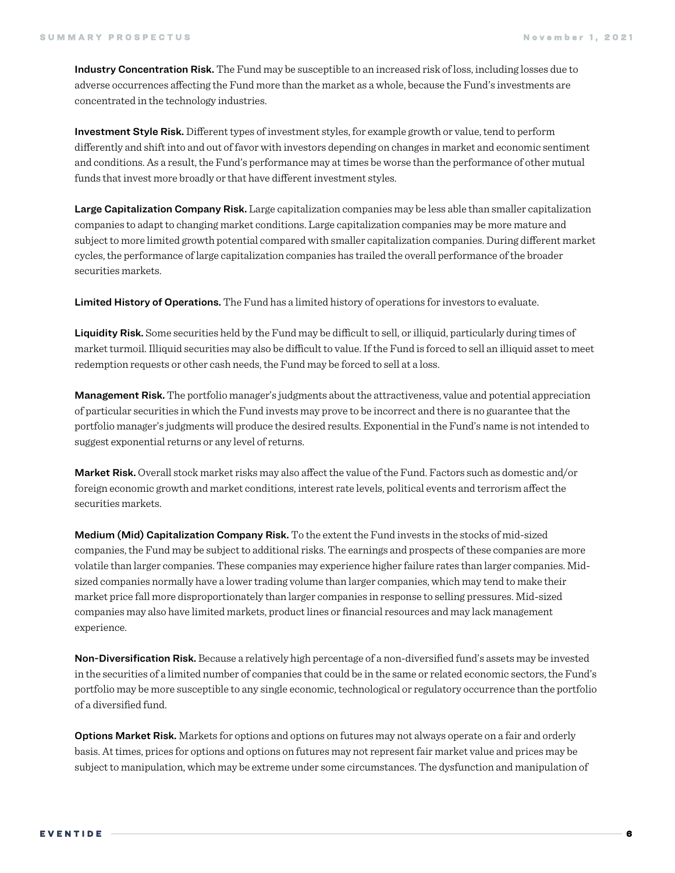Industry Concentration Risk. The Fund may be susceptible to an increased risk of loss, including losses due to adverse occurrences affecting the Fund more than the market as a whole, because the Fund's investments are concentrated in the technology industries.

Investment Style Risk. Different types of investment styles, for example growth or value, tend to perform differently and shift into and out of favor with investors depending on changes in market and economic sentiment and conditions. As a result, the Fund's performance may at times be worse than the performance of other mutual funds that invest more broadly or that have different investment styles.

Large Capitalization Company Risk. Large capitalization companies may be less able than smaller capitalization companies to adapt to changing market conditions. Large capitalization companies may be more mature and subject to more limited growth potential compared with smaller capitalization companies. During different market cycles, the performance of large capitalization companies has trailed the overall performance of the broader securities markets.

Limited History of Operations. The Fund has a limited history of operations for investors to evaluate.

Liquidity Risk. Some securities held by the Fund may be difficult to sell, or illiquid, particularly during times of market turmoil. Illiquid securities may also be difficult to value. If the Fund is forced to sell an illiquid asset to meet redemption requests or other cash needs, the Fund may be forced to sell at a loss.

**Management Risk.** The portfolio manager's judgments about the attractiveness, value and potential appreciation of particular securities in which the Fund invests may prove to be incorrect and there is no guarantee that the portfolio manager's judgments will produce the desired results. Exponential in the Fund's name is not intended to suggest exponential returns or any level of returns.

Market Risk. Overall stock market risks may also affect the value of the Fund. Factors such as domestic and/or foreign economic growth and market conditions, interest rate levels, political events and terrorism affect the securities markets.

Medium (Mid) Capitalization Company Risk. To the extent the Fund invests in the stocks of mid-sized companies, the Fund may be subject to additional risks. The earnings and prospects of these companies are more volatile than larger companies. These companies may experience higher failure rates than larger companies. Midsized companies normally have a lower trading volume than larger companies, which may tend to make their market price fall more disproportionately than larger companies in response to selling pressures. Mid-sized companies may also have limited markets, product lines or financial resources and may lack management experience.

Non-Diversification Risk. Because a relatively high percentage of a non-diversified fund's assets may be invested in the securities of a limited number of companies that could be in the same or related economic sectors, the Fund's portfolio may be more susceptible to any single economic, technological or regulatory occurrence than the portfolio of a diversified fund.

**Options Market Risk.** Markets for options and options on futures may not always operate on a fair and orderly basis. At times, prices for options and options on futures may not represent fair market value and prices may be subject to manipulation, which may be extreme under some circumstances. The dysfunction and manipulation of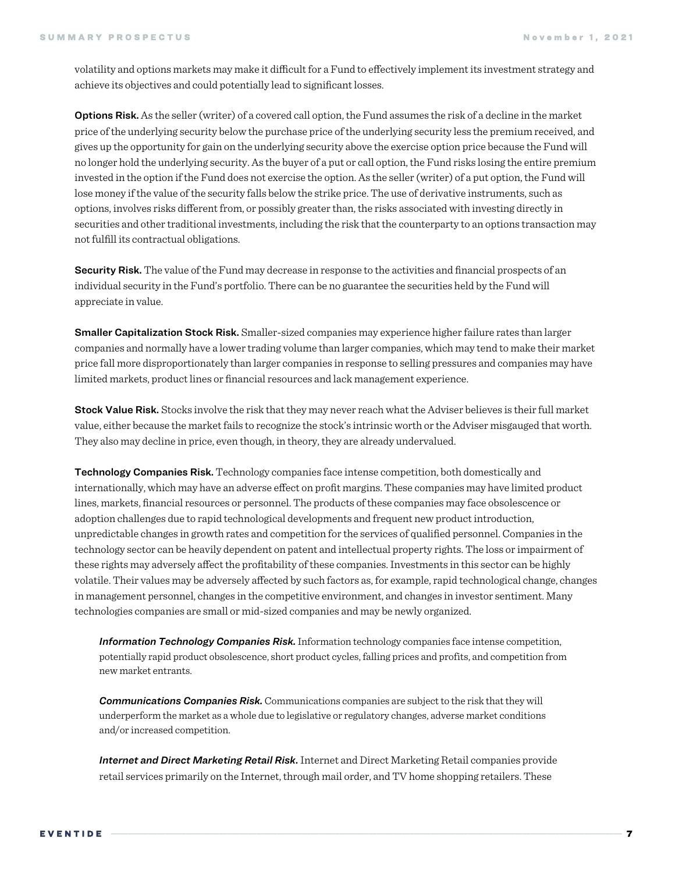volatility and options markets may make it difficult for a Fund to effectively implement its investment strategy and achieve its objectives and could potentially lead to significant losses.

Options Risk. As the seller (writer) of a covered call option, the Fund assumes the risk of a decline in the market price of the underlying security below the purchase price of the underlying security less the premium received, and gives up the opportunity for gain on the underlying security above the exercise option price because the Fund will no longer hold the underlying security. As the buyer of a put or call option, the Fund risks losing the entire premium invested in the option if the Fund does not exercise the option. As the seller (writer) of a put option, the Fund will lose money if the value of the security falls below the strike price. The use of derivative instruments, such as options, involves risks different from, or possibly greater than, the risks associated with investing directly in securities and other traditional investments, including the risk that the counterparty to an options transaction may not fulfill its contractual obligations.

Security Risk. The value of the Fund may decrease in response to the activities and financial prospects of an individual security in the Fund's portfolio. There can be no guarantee the securities held by the Fund will appreciate in value.

Smaller Capitalization Stock Risk. Smaller-sized companies may experience higher failure rates than larger companies and normally have a lower trading volume than larger companies, which may tend to make their market price fall more disproportionately than larger companies in response to selling pressures and companies may have limited markets, product lines or financial resources and lack management experience.

Stock Value Risk. Stocks involve the risk that they may never reach what the Adviser believes is their full market value, either because the market fails to recognize the stock's intrinsic worth or the Adviser misgauged that worth. They also may decline in price, even though, in theory, they are already undervalued.

Technology Companies Risk. Technology companies face intense competition, both domestically and internationally, which may have an adverse effect on profit margins. These companies may have limited product lines, markets, financial resources or personnel. The products of these companies may face obsolescence or adoption challenges due to rapid technological developments and frequent new product introduction, unpredictable changes in growth rates and competition for the services of qualified personnel. Companies in the technology sector can be heavily dependent on patent and intellectual property rights. The loss or impairment of these rights may adversely affect the profitability of these companies. Investments in this sector can be highly volatile. Their values may be adversely affected by such factors as, for example, rapid technological change, changes in management personnel, changes in the competitive environment, and changes in investor sentiment. Many technologies companies are small or mid-sized companies and may be newly organized.

*Information Technology Companies Risk.*Information technology companies face intense competition, potentially rapid product obsolescence, short product cycles, falling prices and profits, and competition from new market entrants.

*Communications Companies Risk.* Communications companies are subject to the risk that they will underperform the market as a whole due to legislative or regulatory changes, adverse market conditions and/or increased competition.

*Internet and Direct Marketing Retail Risk*. Internet and Direct Marketing Retail companies provide retail services primarily on the Internet, through mail order, and TV home shopping retailers. These